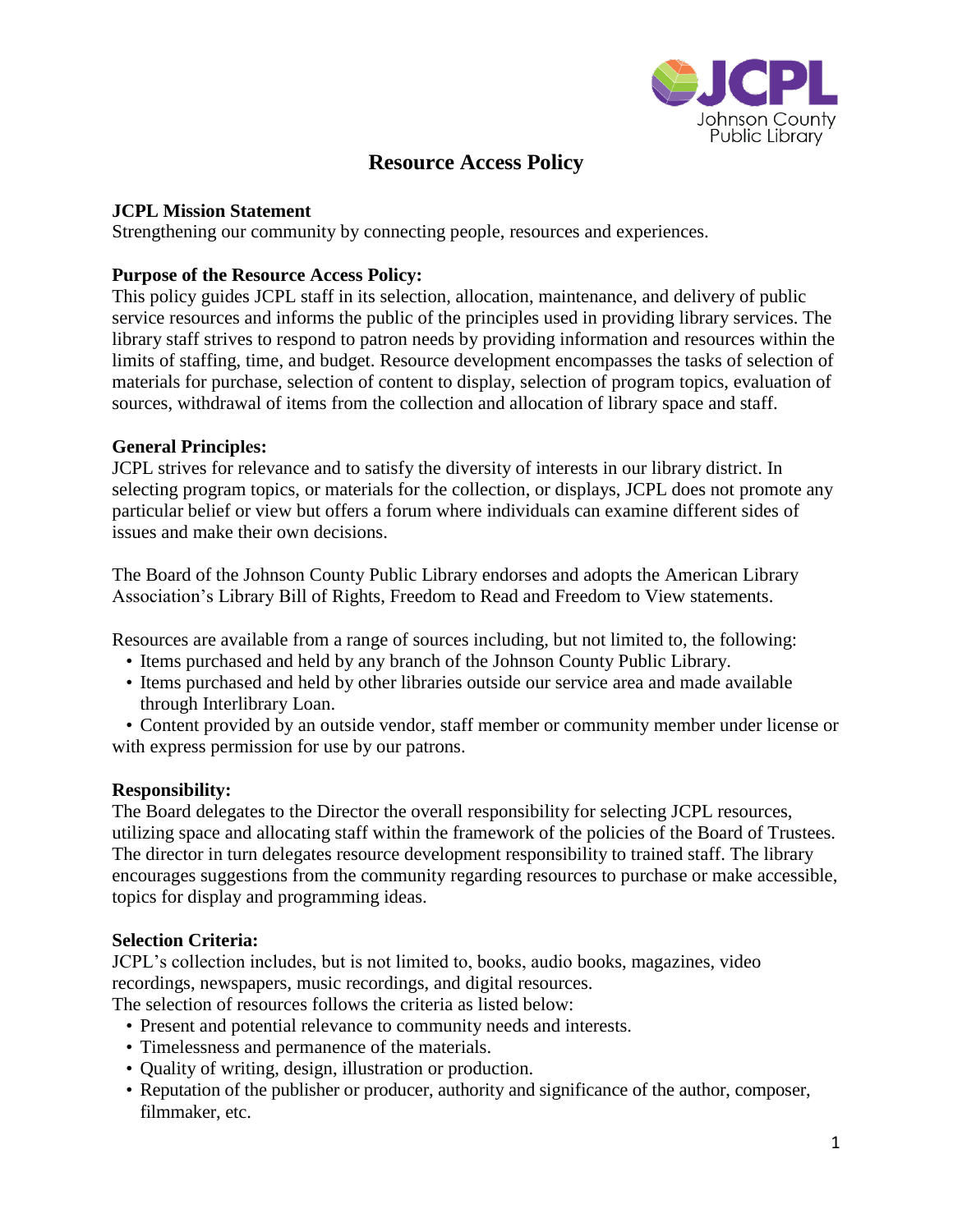

# **Resource Access Policy**

# **JCPL Mission Statement**

Strengthening our community by connecting people, resources and experiences.

## **Purpose of the Resource Access Policy:**

This policy guides JCPL staff in its selection, allocation, maintenance, and delivery of public service resources and informs the public of the principles used in providing library services. The library staff strives to respond to patron needs by providing information and resources within the limits of staffing, time, and budget. Resource development encompasses the tasks of selection of materials for purchase, selection of content to display, selection of program topics, evaluation of sources, withdrawal of items from the collection and allocation of library space and staff.

## **General Principles:**

JCPL strives for relevance and to satisfy the diversity of interests in our library district. In selecting program topics, or materials for the collection, or displays, JCPL does not promote any particular belief or view but offers a forum where individuals can examine different sides of issues and make their own decisions.

The Board of the Johnson County Public Library endorses and adopts the American Library Association's Library Bill of Rights, Freedom to Read and Freedom to View statements.

Resources are available from a range of sources including, but not limited to, the following:

- Items purchased and held by any branch of the Johnson County Public Library.
- Items purchased and held by other libraries outside our service area and made available through Interlibrary Loan.

• Content provided by an outside vendor, staff member or community member under license or with express permission for use by our patrons.

# **Responsibility:**

The Board delegates to the Director the overall responsibility for selecting JCPL resources, utilizing space and allocating staff within the framework of the policies of the Board of Trustees. The director in turn delegates resource development responsibility to trained staff. The library encourages suggestions from the community regarding resources to purchase or make accessible, topics for display and programming ideas.

## **Selection Criteria:**

JCPL's collection includes, but is not limited to, books, audio books, magazines, video recordings, newspapers, music recordings, and digital resources.

The selection of resources follows the criteria as listed below:

- Present and potential relevance to community needs and interests.
- Timelessness and permanence of the materials.
- Quality of writing, design, illustration or production.
- Reputation of the publisher or producer, authority and significance of the author, composer, filmmaker, etc.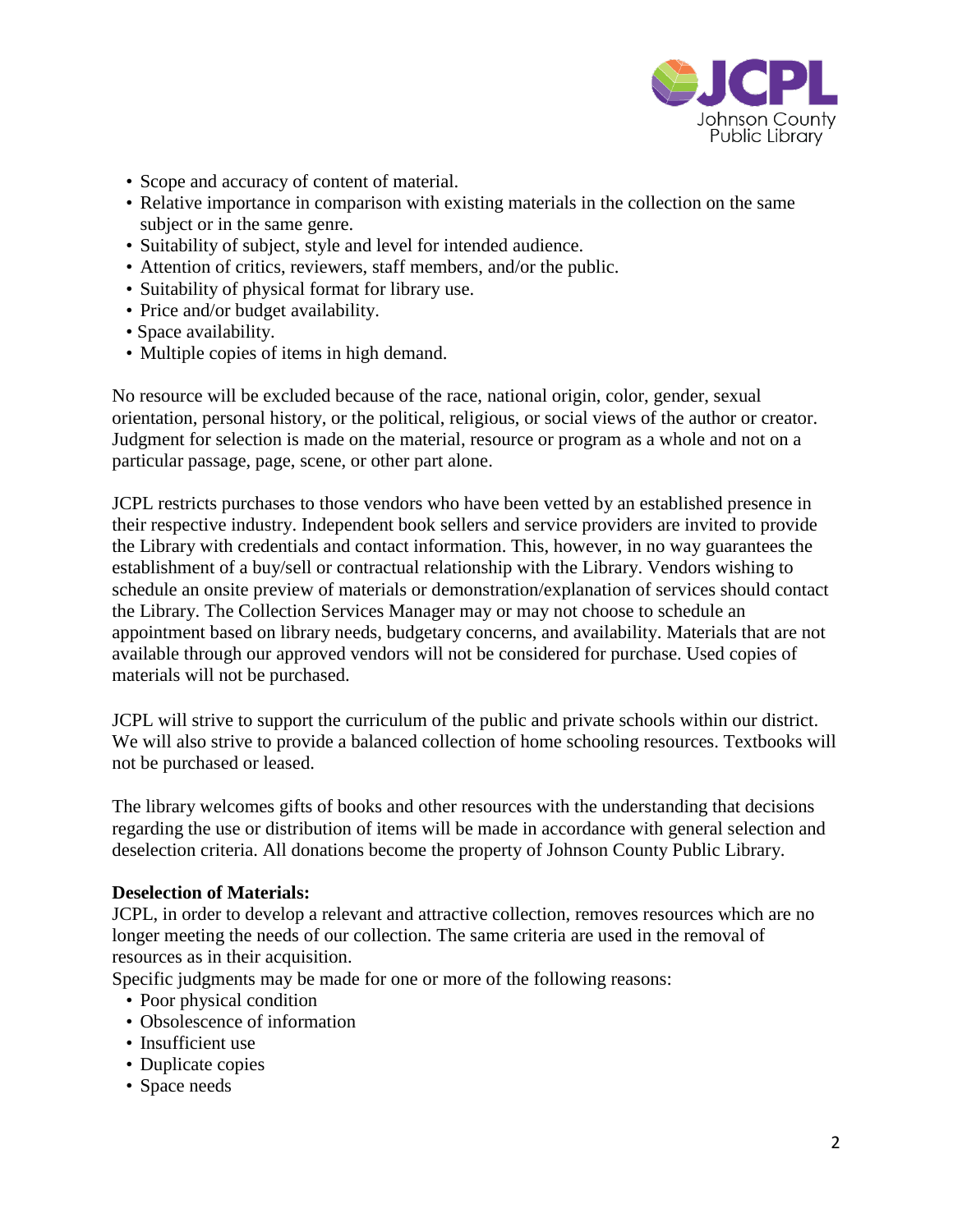

- Scope and accuracy of content of material.
- Relative importance in comparison with existing materials in the collection on the same subject or in the same genre.
- Suitability of subject, style and level for intended audience.
- Attention of critics, reviewers, staff members, and/or the public.
- Suitability of physical format for library use.
- Price and/or budget availability.
- Space availability.
- Multiple copies of items in high demand.

No resource will be excluded because of the race, national origin, color, gender, sexual orientation, personal history, or the political, religious, or social views of the author or creator. Judgment for selection is made on the material, resource or program as a whole and not on a particular passage, page, scene, or other part alone.

JCPL restricts purchases to those vendors who have been vetted by an established presence in their respective industry. Independent book sellers and service providers are invited to provide the Library with credentials and contact information. This, however, in no way guarantees the establishment of a buy/sell or contractual relationship with the Library. Vendors wishing to schedule an onsite preview of materials or demonstration/explanation of services should contact the Library. The Collection Services Manager may or may not choose to schedule an appointment based on library needs, budgetary concerns, and availability. Materials that are not available through our approved vendors will not be considered for purchase. Used copies of materials will not be purchased.

JCPL will strive to support the curriculum of the public and private schools within our district. We will also strive to provide a balanced collection of home schooling resources. Textbooks will not be purchased or leased.

The library welcomes gifts of books and other resources with the understanding that decisions regarding the use or distribution of items will be made in accordance with general selection and deselection criteria. All donations become the property of Johnson County Public Library.

## **Deselection of Materials:**

JCPL, in order to develop a relevant and attractive collection, removes resources which are no longer meeting the needs of our collection. The same criteria are used in the removal of resources as in their acquisition.

Specific judgments may be made for one or more of the following reasons:

- Poor physical condition
- Obsolescence of information
- Insufficient use
- Duplicate copies
- Space needs